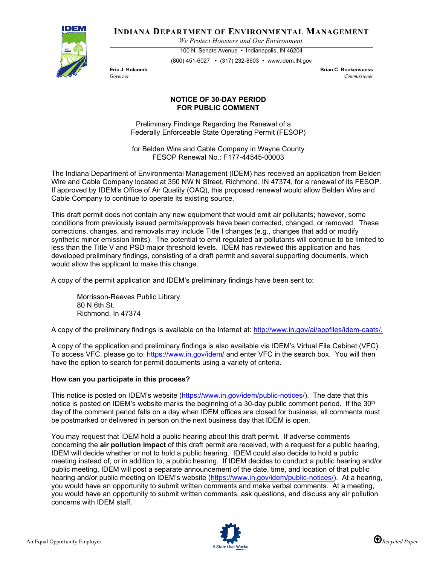

**INDIANA DEPARTMENT OF ENVIRONMENTAL MANAGEMENT**

*We Protect Hoosiers and Our Environment.*

100 N. Senate Avenue • Indianapolis, IN 46204 (800) 451-6027 • (317) 232-8603 • www.idem.IN.gov

**Eric J. Holcomb Brian C. Rockensuess** *Governor Commissioner* 

## **NOTICE OF 30-DAY PERIOD FOR PUBLIC COMMENT**

Preliminary Findings Regarding the Renewal of a Federally Enforceable State Operating Permit (FESOP)

for Belden Wire and Cable Company in Wayne County FESOP Renewal No.: F177-44545-00003

The Indiana Department of Environmental Management (IDEM) has received an application from Belden Wire and Cable Company located at 350 NW N Street, Richmond, IN 47374, for a renewal of its FESOP. If approved by IDEM's Office of Air Quality (OAQ), this proposed renewal would allow Belden Wire and Cable Company to continue to operate its existing source.

This draft permit does not contain any new equipment that would emit air pollutants; however, some conditions from previously issued permits/approvals have been corrected, changed, or removed. These corrections, changes, and removals may include Title I changes (e.g., changes that add or modify synthetic minor emission limits). The potential to emit regulated air pollutants will continue to be limited to less than the Title V and PSD major threshold levels. IDEM has reviewed this application and has developed preliminary findings, consisting of a draft permit and several supporting documents, which would allow the applicant to make this change.

A copy of the permit application and IDEM's preliminary findings have been sent to:

Morrisson-Reeves Public Library 80 N 6th St. Richmond, In 47374

A copy of the preliminary findings is available on the Internet at: [http://www.in.gov/ai/appfiles/idem-caats/.](http://www.in.gov/ai/appfiles/idem-caats/)

A copy of the application and preliminary findings is also available via IDEM's Virtual File Cabinet (VFC). To access VFC, please go to:<https://www.in.gov/idem/> and enter VFC in the search box. You will then have the option to search for permit documents using a variety of criteria.

## **How can you participate in this process?**

This notice is posted on IDEM's website [\(https://www.in.gov/idem/public-notices/\)](https://www.in.gov/idem/public-notices/). The date that this notice is posted on IDEM's website marks the beginning of a 30-day public comment period. If the 30<sup>th</sup> day of the comment period falls on a day when IDEM offices are closed for business, all comments must be postmarked or delivered in person on the next business day that IDEM is open.

You may request that IDEM hold a public hearing about this draft permit. If adverse comments concerning the **air pollution impact** of this draft permit are received, with a request for a public hearing, IDEM will decide whether or not to hold a public hearing. IDEM could also decide to hold a public meeting instead of, or in addition to, a public hearing. If IDEM decides to conduct a public hearing and/or public meeting, IDEM will post a separate announcement of the date, time, and location of that public hearing and/or public meeting on IDEM's website [\(https://www.in.gov/idem/public-notices/\)](https://www.in.gov/idem/public-notices/). At a hearing, you would have an opportunity to submit written comments and make verbal comments. At a meeting, you would have an opportunity to submit written comments, ask questions, and discuss any air pollution concerns with IDEM staff.